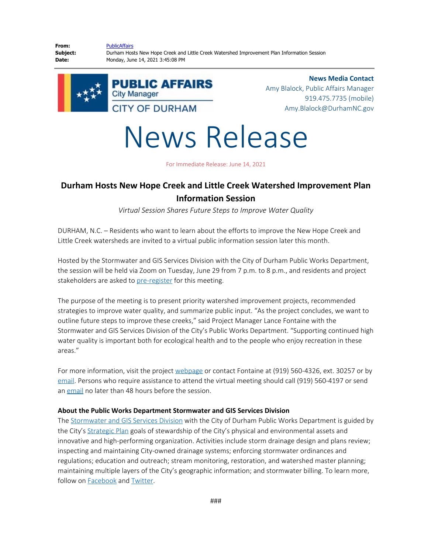**From:** [PublicAffairs](mailto:PublicAffairs@durhamnc.gov) **Subject:** Durham Hosts New Hope Creek and Little Creek Watershed Improvement Plan Information Session **Date:** Monday, June 14, 2021 3:45:08 PM





**News Media Contact** Amy Blalock, Public Affairs Manager 919.475.7735 (mobile) Amy.Blalock@DurhamNC.gov

News Release

For Immediate Release: June 14, 2021

## **Durham Hosts New Hope Creek and Little Creek Watershed Improvement Plan Information Session**

*Virtual Session Shares Future Steps to Improve Water Quality*

DURHAM, N.C. – Residents who want to learn about the efforts to improve the New Hope Creek and Little Creek watersheds are invited to a virtual public information session later this month.

Hosted by the Stormwater and GIS Services Division with the City of Durham Public Works Department, the session will be held via Zoom on Tuesday, June 29 from 7 p.m. to 8 p.m., and residents and project stakeholders are asked to [pre-register](http://bit.ly/June29NewHope) for this meeting.

The purpose of the meeting is to present priority watershed improvement projects, recommended strategies to improve water quality, and summarize public input. "As the project concludes, we want to outline future steps to improve these creeks," said Project Manager Lance Fontaine with the Stormwater and GIS Services Division of the City's Public Works Department. "Supporting continued high water quality is important both for ecological health and to the people who enjoy recreation in these areas."

For more information, visit the project [webpage](https://durhamnc.gov/3766/New-Hope-Little-Creek-Watershed-Improvem) or contact Fontaine at (919) 560-4326, ext. 30257 or by [email](mailto:lance.fontaine@DurhamNC.gov). Persons who require assistance to attend the virtual meeting should call (919) 560-4197 or send an [email](mailto:ADA@DurhamNC.gov) no later than 48 hours before the session.

## **About the Public Works Department Stormwater and GIS Services Division**

The [Stormwater and GIS Services Division](http://durhamnc.gov/692/Stormwater-GIS-Services) with the City of Durham Public Works Department is guided by the City's [Strategic Plan](http://durhamnc.gov/183/Strategic-Plan) goals of stewardship of the City's physical and environmental assets and innovative and high-performing organization. Activities include storm drainage design and plans review; inspecting and maintaining City-owned drainage systems; enforcing stormwater ordinances and regulations; education and outreach; stream monitoring, restoration, and watershed master planning; maintaining multiple layers of the City's geographic information; and stormwater billing. To learn more, follow on [Facebook](http://www.facebook.com/DurhamNCStormwater) and [Twitter](http://www.twitter.com/durhamstormh2o).